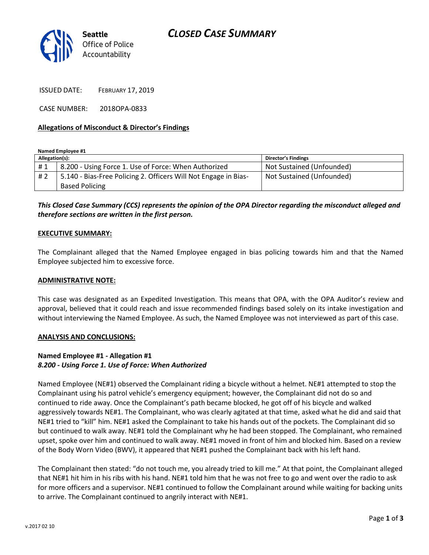

ISSUED DATE: FEBRUARY 17, 2019

CASE NUMBER: 2018OPA-0833

#### **Allegations of Misconduct & Director's Findings**

**Named Employee #1**

| Allegation(s): |                                                                 | <b>Director's Findings</b> |
|----------------|-----------------------------------------------------------------|----------------------------|
| #1             | 8.200 - Using Force 1. Use of Force: When Authorized            | Not Sustained (Unfounded)  |
| #2             | 5.140 - Bias-Free Policing 2. Officers Will Not Engage in Bias- | Not Sustained (Unfounded)  |
|                | <b>Based Policing</b>                                           |                            |

## *This Closed Case Summary (CCS) represents the opinion of the OPA Director regarding the misconduct alleged and therefore sections are written in the first person.*

#### **EXECUTIVE SUMMARY:**

The Complainant alleged that the Named Employee engaged in bias policing towards him and that the Named Employee subjected him to excessive force.

#### **ADMINISTRATIVE NOTE:**

This case was designated as an Expedited Investigation. This means that OPA, with the OPA Auditor's review and approval, believed that it could reach and issue recommended findings based solely on its intake investigation and without interviewing the Named Employee. As such, the Named Employee was not interviewed as part of this case.

#### **ANALYSIS AND CONCLUSIONS:**

#### **Named Employee #1 - Allegation #1** *8.200 - Using Force 1. Use of Force: When Authorized*

Named Employee (NE#1) observed the Complainant riding a bicycle without a helmet. NE#1 attempted to stop the Complainant using his patrol vehicle's emergency equipment; however, the Complainant did not do so and continued to ride away. Once the Complainant's path became blocked, he got off of his bicycle and walked aggressively towards NE#1. The Complainant, who was clearly agitated at that time, asked what he did and said that NE#1 tried to "kill" him. NE#1 asked the Complainant to take his hands out of the pockets. The Complainant did so but continued to walk away. NE#1 told the Complainant why he had been stopped. The Complainant, who remained upset, spoke over him and continued to walk away. NE#1 moved in front of him and blocked him. Based on a review of the Body Worn Video (BWV), it appeared that NE#1 pushed the Complainant back with his left hand.

The Complainant then stated: "do not touch me, you already tried to kill me." At that point, the Complainant alleged that NE#1 hit him in his ribs with his hand. NE#1 told him that he was not free to go and went over the radio to ask for more officers and a supervisor. NE#1 continued to follow the Complainant around while waiting for backing units to arrive. The Complainant continued to angrily interact with NE#1.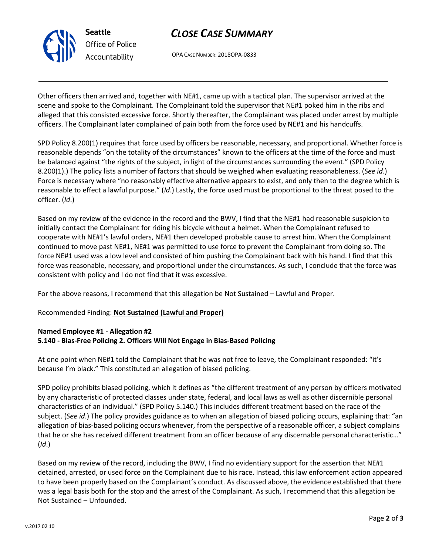

# *CLOSE CASE SUMMARY*

OPA CASE NUMBER: 2018OPA-0833

Other officers then arrived and, together with NE#1, came up with a tactical plan. The supervisor arrived at the scene and spoke to the Complainant. The Complainant told the supervisor that NE#1 poked him in the ribs and alleged that this consisted excessive force. Shortly thereafter, the Complainant was placed under arrest by multiple officers. The Complainant later complained of pain both from the force used by NE#1 and his handcuffs.

SPD Policy 8.200(1) requires that force used by officers be reasonable, necessary, and proportional. Whether force is reasonable depends "on the totality of the circumstances" known to the officers at the time of the force and must be balanced against "the rights of the subject, in light of the circumstances surrounding the event." (SPD Policy 8.200(1).) The policy lists a number of factors that should be weighed when evaluating reasonableness. (*See id*.) Force is necessary where "no reasonably effective alternative appears to exist, and only then to the degree which is reasonable to effect a lawful purpose." (*Id*.) Lastly, the force used must be proportional to the threat posed to the officer. (*Id*.)

Based on my review of the evidence in the record and the BWV, I find that the NE#1 had reasonable suspicion to initially contact the Complainant for riding his bicycle without a helmet. When the Complainant refused to cooperate with NE#1's lawful orders, NE#1 then developed probable cause to arrest him. When the Complainant continued to move past NE#1, NE#1 was permitted to use force to prevent the Complainant from doing so. The force NE#1 used was a low level and consisted of him pushing the Complainant back with his hand. I find that this force was reasonable, necessary, and proportional under the circumstances. As such, I conclude that the force was consistent with policy and I do not find that it was excessive.

For the above reasons, I recommend that this allegation be Not Sustained – Lawful and Proper.

#### Recommended Finding: **Not Sustained (Lawful and Proper)**

### **Named Employee #1 - Allegation #2 5.140 - Bias-Free Policing 2. Officers Will Not Engage in Bias-Based Policing**

At one point when NE#1 told the Complainant that he was not free to leave, the Complainant responded: "it's because I'm black." This constituted an allegation of biased policing.

SPD policy prohibits biased policing, which it defines as "the different treatment of any person by officers motivated by any characteristic of protected classes under state, federal, and local laws as well as other discernible personal characteristics of an individual." (SPD Policy 5.140.) This includes different treatment based on the race of the subject. (*See id*.) The policy provides guidance as to when an allegation of biased policing occurs, explaining that: "an allegation of bias-based policing occurs whenever, from the perspective of a reasonable officer, a subject complains that he or she has received different treatment from an officer because of any discernable personal characteristic…" (*Id*.)

Based on my review of the record, including the BWV, I find no evidentiary support for the assertion that NE#1 detained, arrested, or used force on the Complainant due to his race. Instead, this law enforcement action appeared to have been properly based on the Complainant's conduct. As discussed above, the evidence established that there was a legal basis both for the stop and the arrest of the Complainant. As such, I recommend that this allegation be Not Sustained – Unfounded.